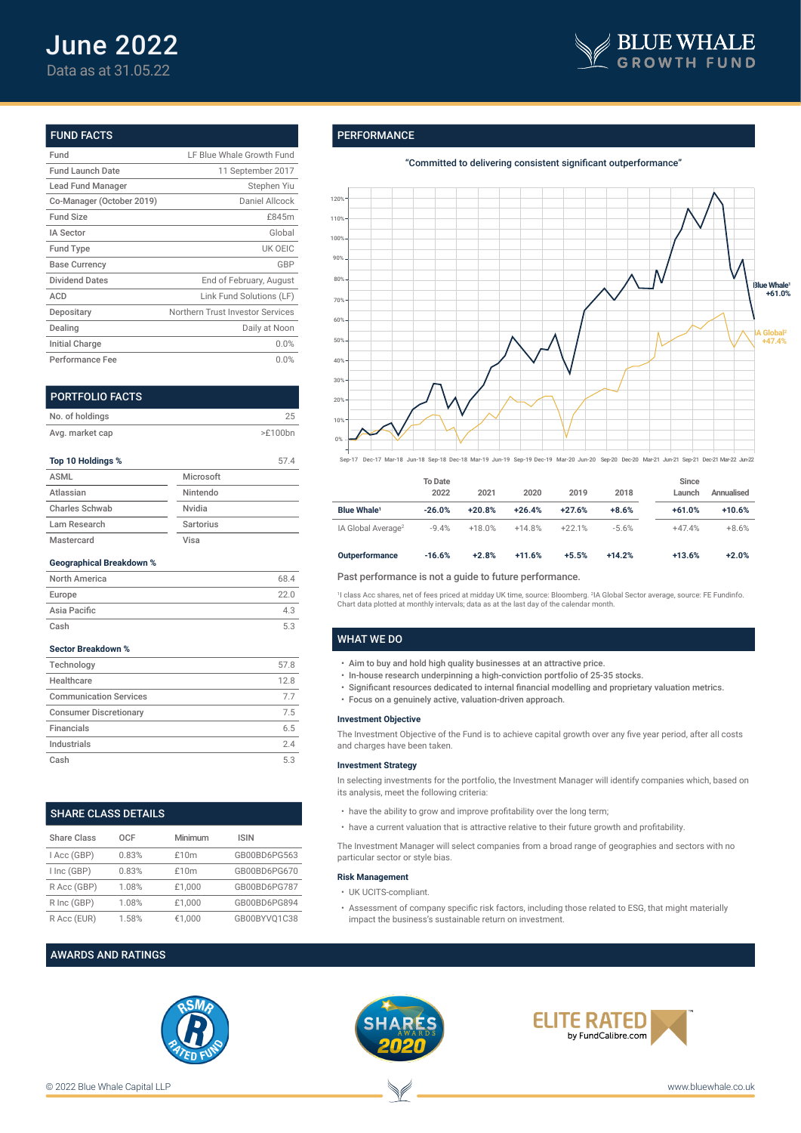

# FUND FACTS

| Fund                      | LF Blue Whale Growth Fund        |
|---------------------------|----------------------------------|
| <b>Fund Launch Date</b>   | 11 September 2017                |
| Lead Fund Manager         | Stephen Yiu                      |
| Co-Manager (October 2019) | Daniel Allcock                   |
| <b>Fund Size</b>          | £845m                            |
| <b>IA Sector</b>          | Global                           |
| <b>Fund Type</b>          | UK OEIC                          |
| <b>Base Currency</b>      | GBP                              |
| <b>Dividend Dates</b>     | End of February, August          |
| ACD                       | Link Fund Solutions (LF)         |
| Depositary                | Northern Trust Investor Services |
| Dealing                   | Daily at Noon                    |
| <b>Initial Charge</b>     | 0.0%                             |
| Performance Fee           | 0.0%                             |

| <b>PORTFOLIO FACTS</b> |           |         |
|------------------------|-----------|---------|
| No. of holdings        |           | 25      |
| Avg. market cap        |           | >E100bn |
| Top 10 Holdings %      |           | 57.4    |
| <b>ASML</b>            | Microsoft |         |
| Atlassian              | Nintendo  |         |
| <b>Charles Schwab</b>  | Nvidia    |         |
| Lam Research           | Sartorius |         |

# **Geographical Breakdown %**

Mastercard Visa

| North America | 68.4 |
|---------------|------|
| Europe        | 22.0 |
| Asia Pacific  | 43   |
| Cash          | 5.3  |

### **Sector Breakdown %**

| Technology                    | 57.8 |
|-------------------------------|------|
| Healthcare                    | 12.8 |
| <b>Communication Services</b> | 77   |
| <b>Consumer Discretionary</b> | 7.5  |
| Financials                    | 6.5  |
| Industrials                   | 24   |
| Cash                          | 53   |

# SHARE CLASS DETAILS

| Share Class | OCF   | Minimum | <b>ISIN</b>  |
|-------------|-------|---------|--------------|
| I Acc (GBP) | 0.83% | £10m    | GB00BD6PG563 |
| I Inc (GBP) | 0.83% | £10m    | GB00BD6PG670 |
| R Acc (GBP) | 1.08% | £1.000  | GB00BD6PG787 |
| R Inc (GBP) | 1.08% | £1.000  | GB00BD6PG894 |
| R Acc (EUR) | 1.58% | €1.000  | GB00BYVO1C38 |

# AWARDS AND RATINGS



# **PERFORMANCE**

"Committed to delivering consistent significant outperformance"



Sep-17 Dec-17 Mar-18 Jun-18 Sep-18 Dec-18 Mar-19 Jun-19 Sep-19 Dec-19 Mar-20 Jun-20 Sep-20 Dec-20 Mar-21 Jun-21 Sep-21 Dec-21 Mar-22 Jun-22

|                                | To Date<br>2022 | 2021     | 2020     | 2019     | 2018     | Since<br>Launch | Annualised |
|--------------------------------|-----------------|----------|----------|----------|----------|-----------------|------------|
| <b>Blue Whale</b> <sup>1</sup> | $-26.0%$        | $+20.8%$ | $+26.4%$ | $+27.6%$ | $+8.6%$  | $+61.0%$        | $+10.6%$   |
| IA Global Average <sup>2</sup> | $-9.4%$         | $+18.0%$ | $+14.8%$ | $+22.1%$ | $-5.6%$  | $+47.4%$        | $+8.6%$    |
| <b>Outperformance</b>          | $-16.6%$        | $+2.8%$  | $+11.6%$ | $+5.5%$  | $+14.2%$ | $+13.6%$        | $+2.0%$    |

# Past performance is not a guide to future performance.

1 I class Acc shares, net of fees priced at midday UK time, source: Bloomberg. <sup>2</sup> IA Global Sector average, source: FE Fundinfo. Chart data plotted at monthly intervals; data as at the last day of the calendar month.

## WHAT WE DO

- Aim to buy and hold high quality businesses at an attractive price.
- In-house research underpinning a high-conviction portfolio of 25-35 stocks.
- Significant resources dedicated to internal financial modelling and proprietary valuation metrics.
- Focus on a genuinely active, valuation-driven approach.

#### **Investment Objective**

The Investment Objective of the Fund is to achieve capital growth over any five year period, after all costs and charges have been taken.

#### **Investment Strategy**

In selecting investments for the portfolio, the Investment Manager will identify companies which, based on its analysis, meet the following criteria:

- have the ability to grow and improve profitability over the long term;
- have a current valuation that is attractive relative to their future growth and profitability.

The Investment Manager will select companies from a broad range of geographies and sectors with no particular sector or style bias.

#### **Risk Management**

- UK UCITS-compliant.
- Assessment of company specific risk factors, including those related to ESG, that might materially impact the business's sustainable return on investment.



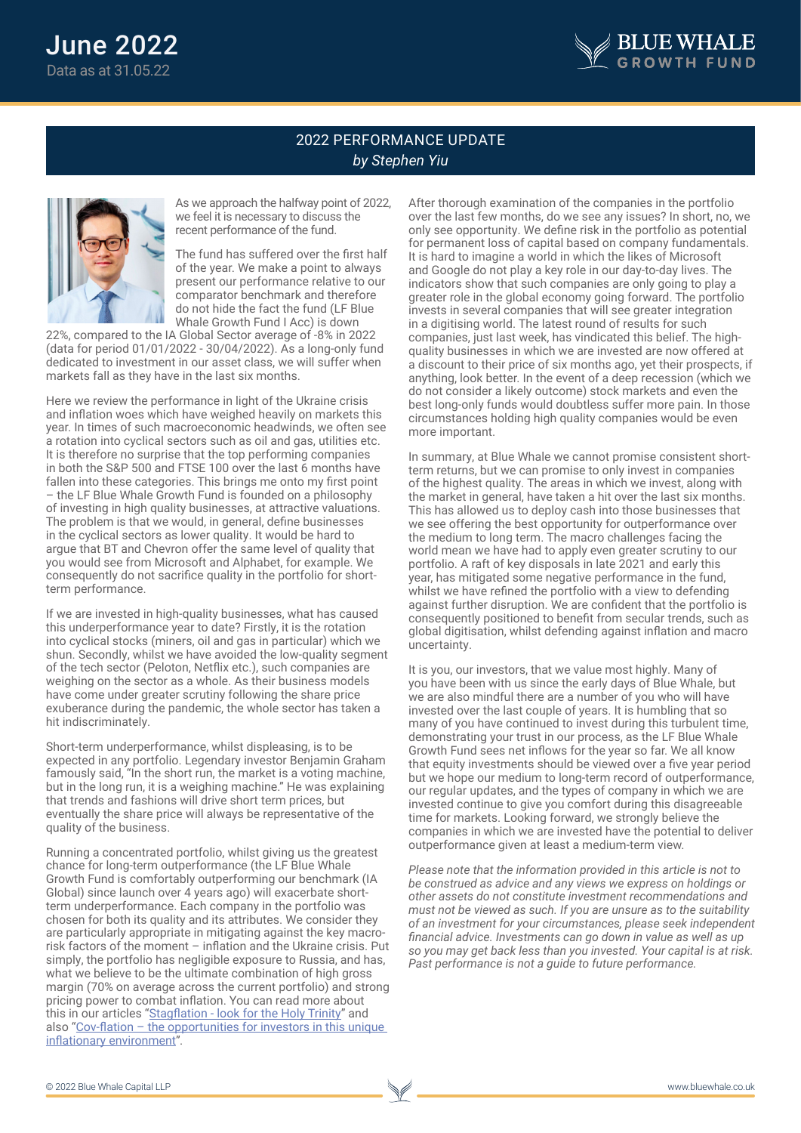

# 2022 PERFORMANCE UPDATE *by Stephen Yiu*



As we approach the halfway point of 2022, we feel it is necessary to discuss the recent performance of the fund.

The fund has suffered over the first half of the year. We make a point to always present our performance relative to our comparator benchmark and therefore do not hide the fact the fund (LF Blue Whale Growth Fund I Acc) is down

22%, compared to the IA Global Sector average of -8% in 2022 (data for period 01/01/2022 - 30/04/2022). As a long-only fund dedicated to investment in our asset class, we will suffer when markets fall as they have in the last six months.

Here we review the performance in light of the Ukraine crisis and inflation woes which have weighed heavily on markets this year. In times of such macroeconomic headwinds, we often see a rotation into cyclical sectors such as oil and gas, utilities etc. It is therefore no surprise that the top performing companies in both the S&P 500 and FTSE 100 over the last 6 months have fallen into these categories. This brings me onto my first point – the LF Blue Whale Growth Fund is founded on a philosophy of investing in high quality businesses, at attractive valuations. The problem is that we would, in general, define businesses in the cyclical sectors as lower quality. It would be hard to argue that BT and Chevron offer the same level of quality that you would see from Microsoft and Alphabet, for example. We consequently do not sacrifice quality in the portfolio for shortterm performance.

If we are invested in high-quality businesses, what has caused this underperformance year to date? Firstly, it is the rotation into cyclical stocks (miners, oil and gas in particular) which we shun. Secondly, whilst we have avoided the low-quality segment of the tech sector (Peloton, Netflix etc.), such companies are weighing on the sector as a whole. As their business models have come under greater scrutiny following the share price exuberance during the pandemic, the whole sector has taken a hit indiscriminately.

Short-term underperformance, whilst displeasing, is to be expected in any portfolio. Legendary investor Benjamin Graham famously said, "In the short run, the market is a voting machine, but in the long run, it is a weighing machine." He was explaining that trends and fashions will drive short term prices, but eventually the share price will always be representative of the quality of the business.

Running a concentrated portfolio, whilst giving us the greatest chance for long-term outperformance (the LF Blue Whale Growth Fund is comfortably outperforming our benchmark (IA Global) since launch over 4 years ago) will exacerbate shortterm underperformance. Each company in the portfolio was chosen for both its quality and its attributes. We consider they are particularly appropriate in mitigating against the key macrorisk factors of the moment – inflation and the Ukraine crisis. Put simply, the portfolio has negligible exposure to Russia, and has, what we believe to be the ultimate combination of high gross margin (70% on average across the current portfolio) and strong pricing power to combat inflation. You can read more about this in our articles "Stagflation - look for the Holy Trinity" and also "Cov-flation – the opportunities for investors in this unique inflationary environment".

After thorough examination of the companies in the portfolio over the last few months, do we see any issues? In short, no, we only see opportunity. We define risk in the portfolio as potential for permanent loss of capital based on company fundamentals. It is hard to imagine a world in which the likes of Microsoft and Google do not play a key role in our day-to-day lives. The indicators show that such companies are only going to play a greater role in the global economy going forward. The portfolio invests in several companies that will see greater integration in a digitising world. The latest round of results for such companies, just last week, has vindicated this belief. The highquality businesses in which we are invested are now offered at a discount to their price of six months ago, yet their prospects, if anything, look better. In the event of a deep recession (which we do not consider a likely outcome) stock markets and even the best long-only funds would doubtless suffer more pain. In those circumstances holding high quality companies would be even more important.

In summary, at Blue Whale we cannot promise consistent shortterm returns, but we can promise to only invest in companies of the highest quality. The areas in which we invest, along with the market in general, have taken a hit over the last six months. This has allowed us to deploy cash into those businesses that we see offering the best opportunity for outperformance over the medium to long term. The macro challenges facing the world mean we have had to apply even greater scrutiny to our portfolio. A raft of key disposals in late 2021 and early this year, has mitigated some negative performance in the fund, whilst we have refined the portfolio with a view to defending against further disruption. We are confident that the portfolio is consequently positioned to benefit from secular trends, such as global digitisation, whilst defending against inflation and macro uncertainty.

It is you, our investors, that we value most highly. Many of you have been with us since the early days of Blue Whale, but we are also mindful there are a number of you who will have invested over the last couple of years. It is humbling that so many of you have continued to invest during this turbulent time, demonstrating your trust in our process, as the LF Blue Whale Growth Fund sees net inflows for the year so far. We all know that equity investments should be viewed over a five year period but we hope our medium to long-term record of outperformance, our regular updates, and the types of company in which we are invested continue to give you comfort during this disagreeable time for markets. Looking forward, we strongly believe the companies in which we are invested have the potential to deliver outperformance given at least a medium-term view.

*Please note that the information provided in this article is not to be construed as advice and any views we express on holdings or other assets do not constitute investment recommendations and must not be viewed as such. If you are unsure as to the suitability of an investment for your circumstances, please seek independent financial advice. Investments can go down in value as well as up so you may get back less than you invested. Your capital is at risk. Past performance is not a guide to future performance.*